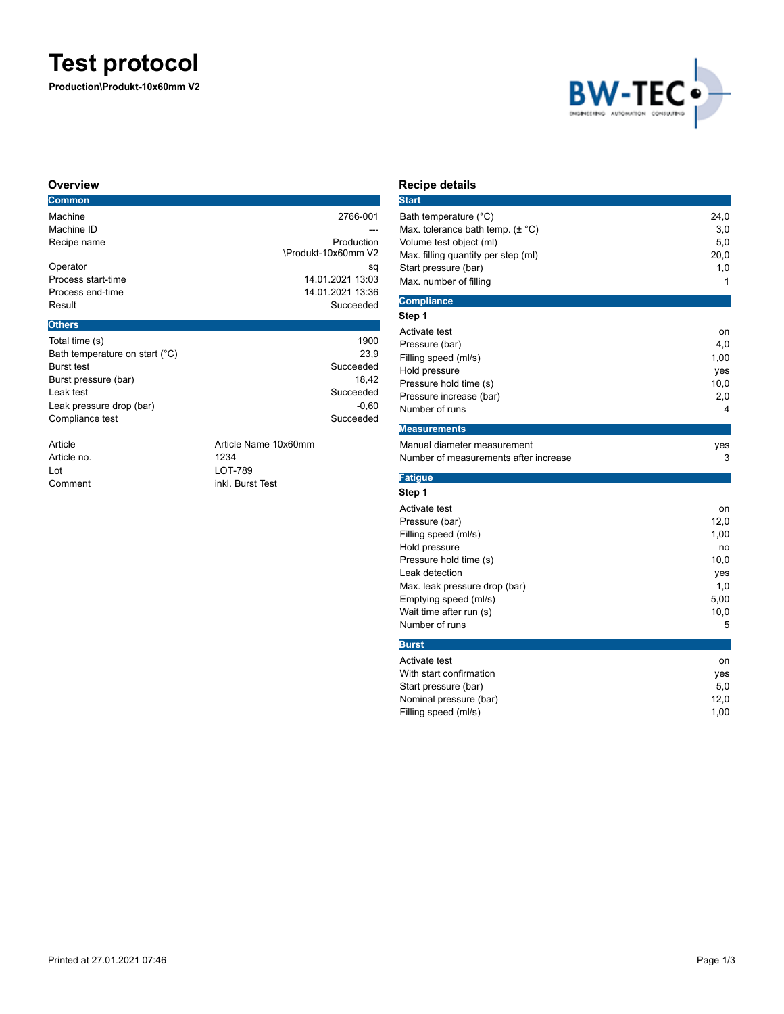# **Test protocol**

**Production\Produkt-10x60mm V2**



#### **Overview**

| <b>Common</b>      |                     |
|--------------------|---------------------|
| Machine            | 2766-001            |
| Machine ID         |                     |
| Recipe name        | Production          |
|                    | \Produkt-10x60mm V2 |
| Operator           | sq                  |
| Process start-time | 14.01.2021 13:03    |
| Process end-time   | 14.01.2021 13:36    |
| Result             | Succeeded           |
| <b>Others</b>      |                     |
|                    |                     |

| Total time (s)                 | 1900      |
|--------------------------------|-----------|
| Bath temperature on start (°C) | 23.9      |
| <b>Burst test</b>              | Succeeded |
| Burst pressure (bar)           | 18.42     |
| Leak test                      | Succeeded |
| Leak pressure drop (bar)       | $-0.60$   |
| Compliance test                | Succeeded |
|                                |           |
|                                |           |

Article no. 1234

Article **Article Name 10x60mm** Lot LOT-789 Comment inkl. Burst Test

## **Recipe details**

| <b>Start</b>                                |      |
|---------------------------------------------|------|
| Bath temperature (°C)                       | 24,0 |
| Max. tolerance bath temp. $(\pm \degree C)$ | 3,0  |
| Volume test object (ml)                     | 5,0  |
| Max. filling quantity per step (ml)         | 20,0 |
| Start pressure (bar)                        | 1,0  |
| Max. number of filling                      | 1    |
| <b>Compliance</b>                           |      |
| Step 1                                      |      |
| Activate test                               | on   |
| Pressure (bar)                              | 4,0  |
| Filling speed (ml/s)                        | 1,00 |
| Hold pressure                               | yes  |
| Pressure hold time (s)                      | 10,0 |
| Pressure increase (bar)                     | 2,0  |
| Number of runs                              | 4    |
| <b>Measurements</b>                         |      |
| Manual diameter measurement                 | yes  |
| Number of measurements after increase       | 3    |
| <b>Fatigue</b>                              |      |
| Step 1                                      |      |
| Activate test                               | on   |
| Pressure (bar)                              | 12,0 |
| Filling speed (ml/s)                        | 1,00 |
| Hold pressure                               | no   |
| Pressure hold time (s)                      | 10,0 |
| Leak detection                              | yes  |
| Max. leak pressure drop (bar)               | 1,0  |
| Emptying speed (ml/s)                       | 5,00 |
| Wait time after run (s)                     | 10,0 |
| Number of runs                              | 5    |
| <b>Burst</b>                                |      |
| Activate test                               | on   |
| With start confirmation                     | yes  |
| Start pressure (bar)                        | 5,0  |
| Nominal pressure (bar)                      | 12,0 |

Filling speed (ml/s) 3,00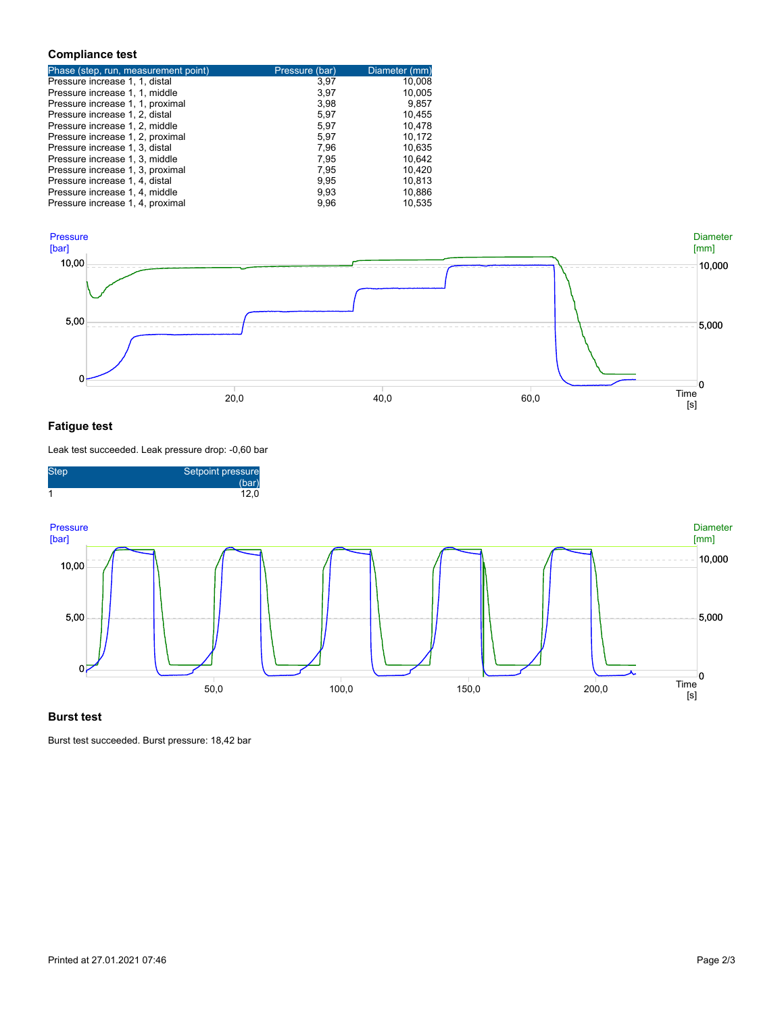#### **Compliance test**

| Phase (step, run, measurement point) | Pressure (bar) | Diameter (mm) |
|--------------------------------------|----------------|---------------|
| Pressure increase 1, 1, distal       | 3.97           | 10,008        |
| Pressure increase 1, 1, middle       | 3,97           | 10,005        |
| Pressure increase 1, 1, proximal     | 3,98           | 9,857         |
| Pressure increase 1, 2, distal       | 5,97           | 10,455        |
| Pressure increase 1, 2, middle       | 5,97           | 10.478        |
| Pressure increase 1, 2, proximal     | 5,97           | 10,172        |
| Pressure increase 1, 3, distal       | 7,96           | 10,635        |
| Pressure increase 1, 3, middle       | 7,95           | 10.642        |
| Pressure increase 1, 3, proximal     | 7,95           | 10.420        |
| Pressure increase 1, 4, distal       | 9.95           | 10.813        |
| Pressure increase 1, 4, middle       | 9,93           | 10,886        |
| Pressure increase 1, 4, proximal     | 9,96           | 10.535        |



### **Fatigue test**

Leak test succeeded. Leak pressure drop: -0,60 bar



#### **Burst test**

Burst test succeeded. Burst pressure: 18,42 bar